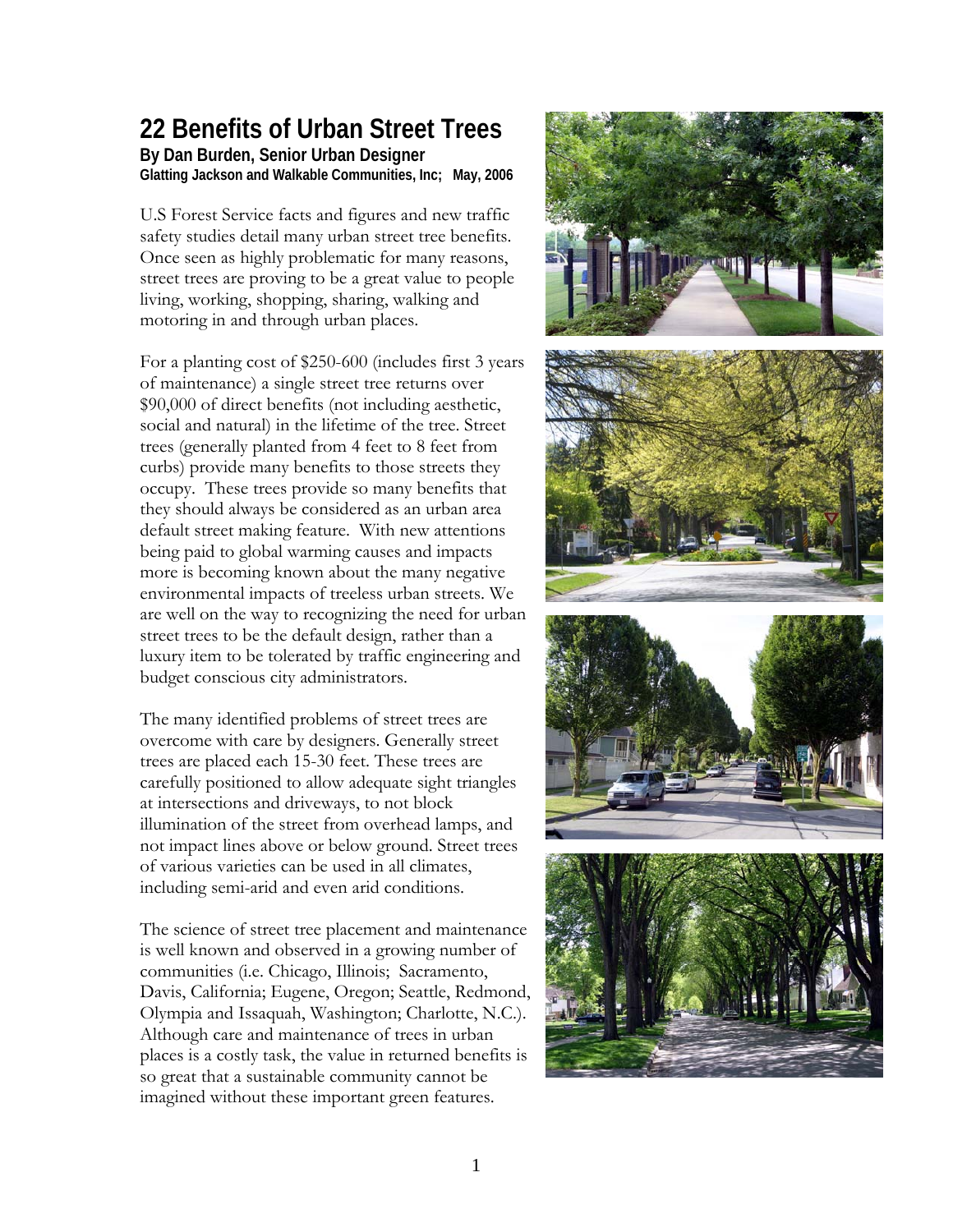## **22 Benefits of Urban Street Trees By Dan Burden, Senior Urban Designer**

**Glatting Jackson and Walkable Communities, Inc; May, 2006** 

U.S Forest Service facts and figures and new traffic safety studies detail many urban street tree benefits. Once seen as highly problematic for many reasons, street trees are proving to be a great value to people living, working, shopping, sharing, walking and motoring in and through urban places.

For a planting cost of \$250-600 (includes first 3 years of maintenance) a single street tree returns over \$90,000 of direct benefits (not including aesthetic, social and natural) in the lifetime of the tree. Street trees (generally planted from 4 feet to 8 feet from curbs) provide many benefits to those streets they occupy. These trees provide so many benefits that they should always be considered as an urban area default street making feature. With new attentions being paid to global warming causes and impacts more is becoming known about the many negative environmental impacts of treeless urban streets. We are well on the way to recognizing the need for urban street trees to be the default design, rather than a luxury item to be tolerated by traffic engineering and budget conscious city administrators.

The many identified problems of street trees are overcome with care by designers. Generally street trees are placed each 15-30 feet. These trees are carefully positioned to allow adequate sight triangles at intersections and driveways, to not block illumination of the street from overhead lamps, and not impact lines above or below ground. Street trees of various varieties can be used in all climates, including semi-arid and even arid conditions.

The science of street tree placement and maintenance is well known and observed in a growing number of communities (i.e. Chicago, Illinois; Sacramento, Davis, California; Eugene, Oregon; Seattle, Redmond, Olympia and Issaquah, Washington; Charlotte, N.C.). Although care and maintenance of trees in urban places is a costly task, the value in returned benefits is so great that a sustainable community cannot be imagined without these important green features.

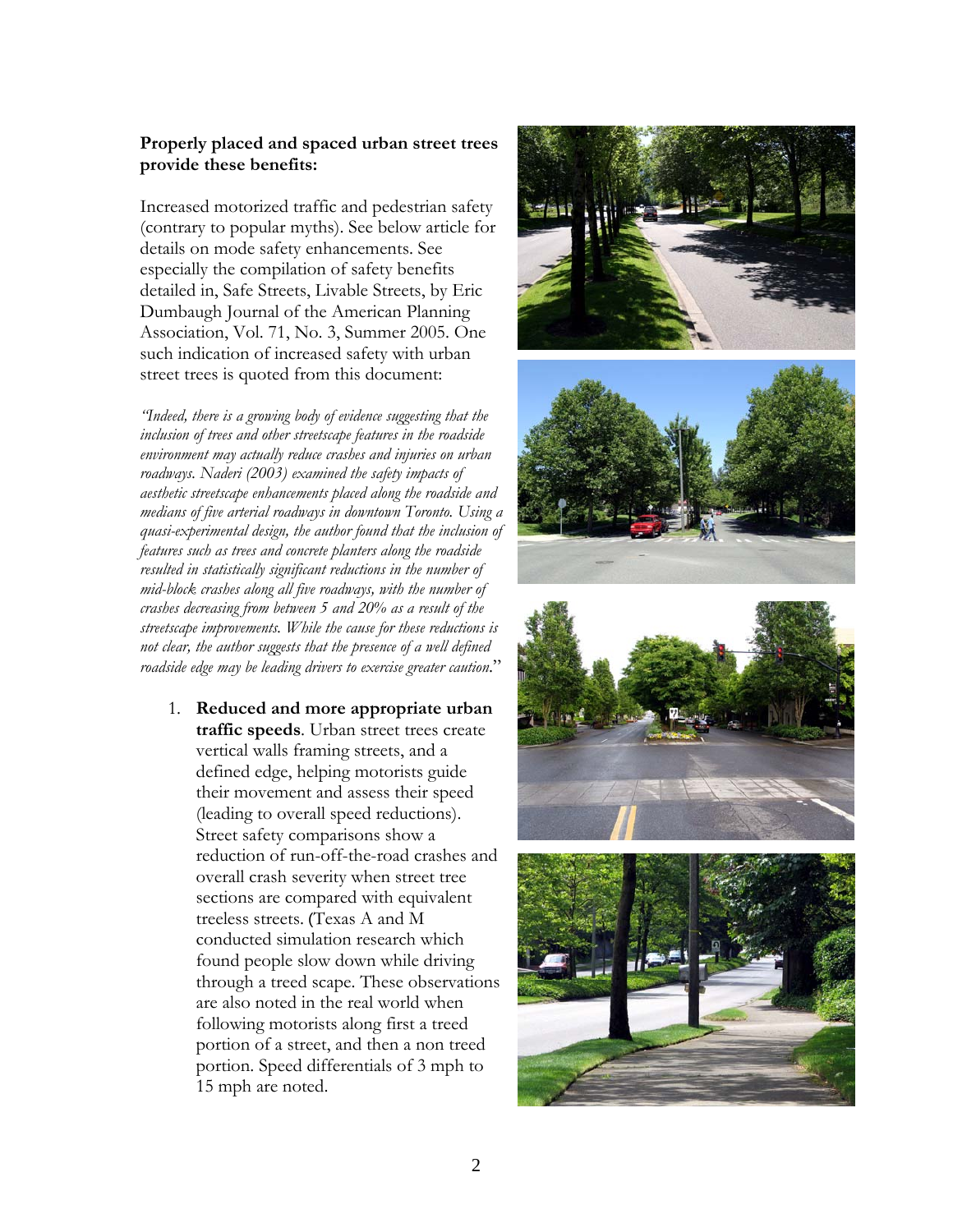## **Properly placed and spaced urban street trees provide these benefits:**

Increased motorized traffic and pedestrian safety (contrary to popular myths). See below article for details on mode safety enhancements. See especially the compilation of safety benefits detailed in, Safe Streets, Livable Streets, by Eric Dumbaugh Journal of the American Planning Association, Vol. 71, No. 3, Summer 2005. One such indication of increased safety with urban street trees is quoted from this document:

*"Indeed, there is a growing body of evidence suggesting that the inclusion of trees and other streetscape features in the roadside environment may actually reduce crashes and injuries on urban roadways. Naderi (2003) examined the safety impacts of aesthetic streetscape enhancements placed along the roadside and medians of five arterial roadways in downtown Toronto. Using a quasi-experimental design, the author found that the inclusion of features such as trees and concrete planters along the roadside resulted in statistically significant reductions in the number of mid-block crashes along all five roadways, with the number of crashes decreasing from between 5 and 20% as a result of the streetscape improvements. While the cause for these reductions is not clear, the author suggests that the presence of a well defined roadside edge may be leading drivers to exercise greater caution*."

1. **Reduced and more appropriate urban traffic speeds**. Urban street trees create vertical walls framing streets, and a defined edge, helping motorists guide their movement and assess their speed (leading to overall speed reductions). Street safety comparisons show a reduction of run-off-the-road crashes and overall crash severity when street tree sections are compared with equivalent treeless streets. (Texas A and M conducted simulation research which found people slow down while driving through a treed scape. These observations are also noted in the real world when following motorists along first a treed portion of a street, and then a non treed portion. Speed differentials of 3 mph to 15 mph are noted.







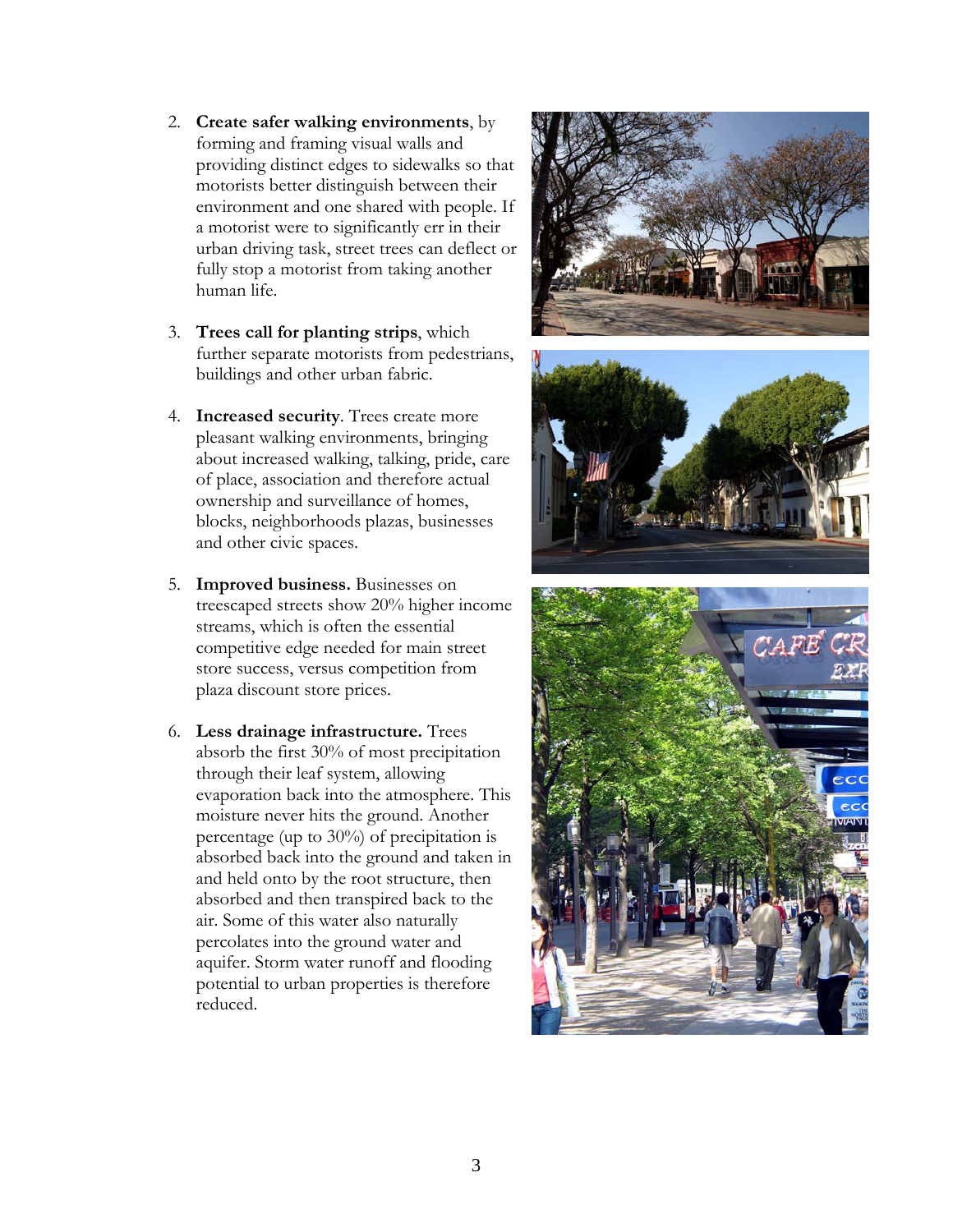- 2. **Create safer walking environments**, by forming and framing visual walls and providing distinct edges to sidewalks so that motorists better distinguish between their environment and one shared with people. If a motorist were to significantly err in their urban driving task, street trees can deflect or fully stop a motorist from taking another human life.
- 3. **Trees call for planting strips**, which further separate motorists from pedestrians, buildings and other urban fabric.
- 4. **Increased security**. Trees create more pleasant walking environments, bringing about increased walking, talking, pride, care of place, association and therefore actual ownership and surveillance of homes, blocks, neighborhoods plazas, businesses and other civic spaces.
- 5. **Improved business.** Businesses on treescaped streets show 20% higher income streams, which is often the essential competitive edge needed for main street store success, versus competition from plaza discount store prices.
- 6. **Less drainage infrastructure.** Trees absorb the first 30% of most precipitation through their leaf system, allowing evaporation back into the atmosphere. This moisture never hits the ground. Another percentage (up to 30%) of precipitation is absorbed back into the ground and taken in and held onto by the root structure, then absorbed and then transpired back to the air. Some of this water also naturally percolates into the ground water and aquifer. Storm water runoff and flooding potential to urban properties is therefore reduced.





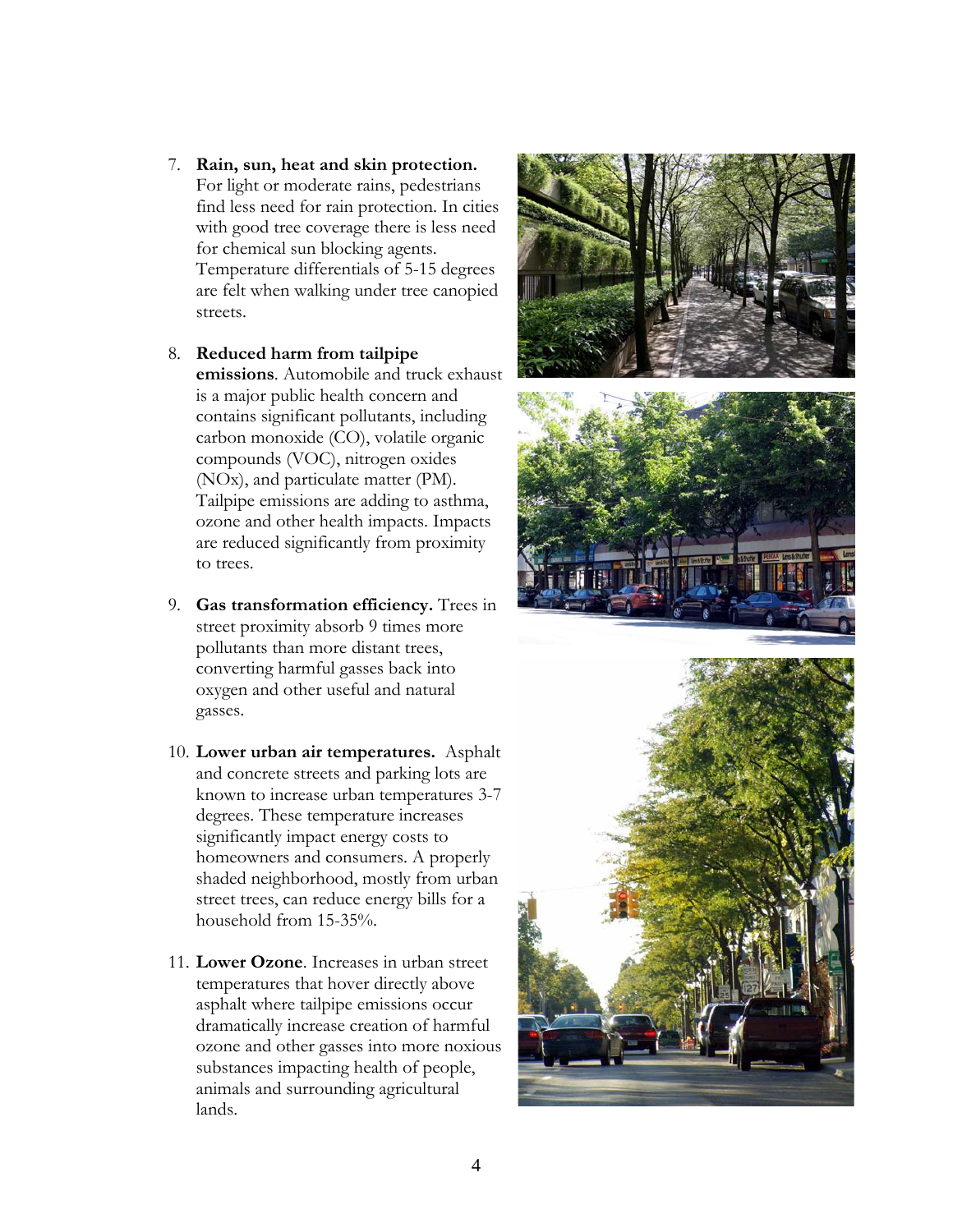- 7. **Rain, sun, heat and skin protection.** For light or moderate rains, pedestrians find less need for rain protection. In cities with good tree coverage there is less need for chemical sun blocking agents. Temperature differentials of 5-15 degrees are felt when walking under tree canopied streets.
- 8. **Reduced harm from tailpipe emissions**. Automobile and truck exhaust is a major public health concern and contains significant pollutants, including carbon monoxide (CO), volatile organic compounds (VOC), nitrogen oxides (NOx), and particulate matter (PM). Tailpipe emissions are adding to asthma, ozone and other health impacts. Impacts are reduced significantly from proximity to trees.
- 9. **Gas transformation efficiency.** Trees in street proximity absorb 9 times more pollutants than more distant trees, converting harmful gasses back into oxygen and other useful and natural gasses.
- 10. **Lower urban air temperatures.** Asphalt and concrete streets and parking lots are known to increase urban temperatures 3-7 degrees. These temperature increases significantly impact energy costs to homeowners and consumers. A properly shaded neighborhood, mostly from urban street trees, can reduce energy bills for a household from 15-35%.
- 11. **Lower Ozone**. Increases in urban street temperatures that hover directly above asphalt where tailpipe emissions occur dramatically increase creation of harmful ozone and other gasses into more noxious substances impacting health of people, animals and surrounding agricultural lands.





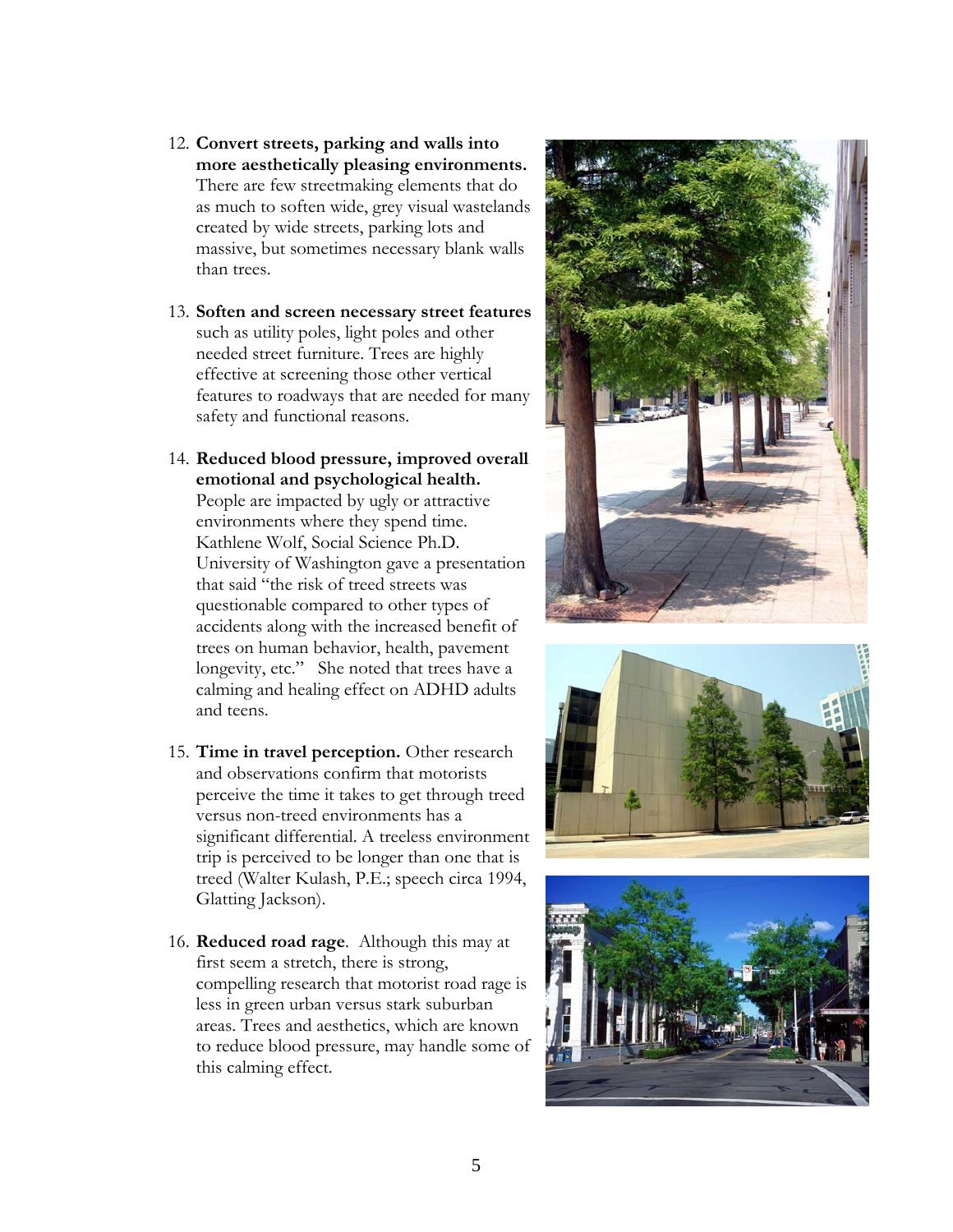- 12. **Convert streets, parking and walls into more aesthetically pleasing environments.** There are few streetmaking elements that do as much to soften wide, grey visual wastelands created by wide streets, parking lots and massive, but sometimes necessary blank walls than trees.
- 13. **Soften and screen necessary street features** such as utility poles, light poles and other needed street furniture. Trees are highly effective at screening those other vertical features to roadways that are needed for many safety and functional reasons.
- 14. **Reduced blood pressure, improved overall emotional and psychological health.**  People are impacted by ugly or attractive environments where they spend time. Kathlene Wolf, Social Science Ph.D. University of Washington gave a presentation that said "the risk of treed streets was questionable compared to other types of accidents along with the increased benefit of trees on human behavior, health, pavement longevity, etc." She noted that trees have a calming and healing effect on ADHD adults and teens.
- 15. **Time in travel perception.** Other research and observations confirm that motorists perceive the time it takes to get through treed versus non-treed environments has a significant differential. A treeless environment trip is perceived to be longer than one that is treed (Walter Kulash, P.E.; speech circa 1994, Glatting Jackson).
- 16. **Reduced road rage**. Although this may at first seem a stretch, there is strong, compelling research that motorist road rage is less in green urban versus stark suburban areas. Trees and aesthetics, which are known to reduce blood pressure, may handle some of this calming effect.